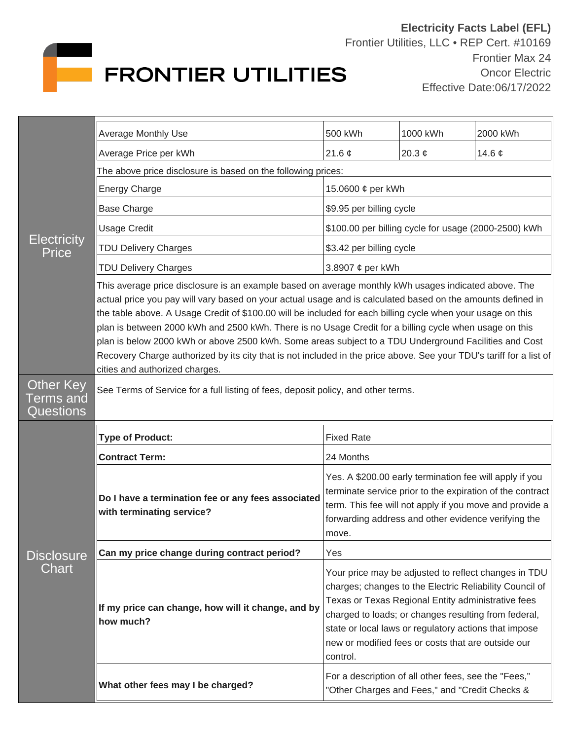

| <b>Electricity</b><br><b>Price</b>         | <b>Average Monthly Use</b>                                                                                                                                                                                                                                                                                                                                                                                                                                                                                                                                                                                                                                                                                     | 500 kWh                                                                                                                                                                                                                                                                                                                                                  | 1000 kWh                                                                                               | 2000 kWh    |  |
|--------------------------------------------|----------------------------------------------------------------------------------------------------------------------------------------------------------------------------------------------------------------------------------------------------------------------------------------------------------------------------------------------------------------------------------------------------------------------------------------------------------------------------------------------------------------------------------------------------------------------------------------------------------------------------------------------------------------------------------------------------------------|----------------------------------------------------------------------------------------------------------------------------------------------------------------------------------------------------------------------------------------------------------------------------------------------------------------------------------------------------------|--------------------------------------------------------------------------------------------------------|-------------|--|
|                                            | Average Price per kWh                                                                                                                                                                                                                                                                                                                                                                                                                                                                                                                                                                                                                                                                                          | 21.6 $\phi$                                                                                                                                                                                                                                                                                                                                              | 20.3 $\phi$                                                                                            | 14.6 $\phi$ |  |
|                                            | The above price disclosure is based on the following prices:                                                                                                                                                                                                                                                                                                                                                                                                                                                                                                                                                                                                                                                   |                                                                                                                                                                                                                                                                                                                                                          |                                                                                                        |             |  |
|                                            | <b>Energy Charge</b>                                                                                                                                                                                                                                                                                                                                                                                                                                                                                                                                                                                                                                                                                           | 15.0600 ¢ per kWh                                                                                                                                                                                                                                                                                                                                        |                                                                                                        |             |  |
|                                            | <b>Base Charge</b>                                                                                                                                                                                                                                                                                                                                                                                                                                                                                                                                                                                                                                                                                             | \$9.95 per billing cycle                                                                                                                                                                                                                                                                                                                                 |                                                                                                        |             |  |
|                                            | <b>Usage Credit</b>                                                                                                                                                                                                                                                                                                                                                                                                                                                                                                                                                                                                                                                                                            | \$100.00 per billing cycle for usage (2000-2500) kWh                                                                                                                                                                                                                                                                                                     |                                                                                                        |             |  |
|                                            | <b>TDU Delivery Charges</b>                                                                                                                                                                                                                                                                                                                                                                                                                                                                                                                                                                                                                                                                                    | \$3.42 per billing cycle                                                                                                                                                                                                                                                                                                                                 |                                                                                                        |             |  |
|                                            | <b>TDU Delivery Charges</b>                                                                                                                                                                                                                                                                                                                                                                                                                                                                                                                                                                                                                                                                                    | 3.8907 ¢ per kWh                                                                                                                                                                                                                                                                                                                                         |                                                                                                        |             |  |
|                                            | This average price disclosure is an example based on average monthly kWh usages indicated above. The<br>actual price you pay will vary based on your actual usage and is calculated based on the amounts defined in<br>the table above. A Usage Credit of \$100.00 will be included for each billing cycle when your usage on this<br>plan is between 2000 kWh and 2500 kWh. There is no Usage Credit for a billing cycle when usage on this<br>plan is below 2000 kWh or above 2500 kWh. Some areas subject to a TDU Underground Facilities and Cost<br>Recovery Charge authorized by its city that is not included in the price above. See your TDU's tariff for a list of<br>cities and authorized charges. |                                                                                                                                                                                                                                                                                                                                                          |                                                                                                        |             |  |
| Other Key<br><b>Terms and</b><br>Questions | See Terms of Service for a full listing of fees, deposit policy, and other terms.                                                                                                                                                                                                                                                                                                                                                                                                                                                                                                                                                                                                                              |                                                                                                                                                                                                                                                                                                                                                          |                                                                                                        |             |  |
| <b>Disclosure</b><br>Chart                 | <b>Type of Product:</b>                                                                                                                                                                                                                                                                                                                                                                                                                                                                                                                                                                                                                                                                                        | <b>Fixed Rate</b>                                                                                                                                                                                                                                                                                                                                        |                                                                                                        |             |  |
|                                            | <b>Contract Term:</b>                                                                                                                                                                                                                                                                                                                                                                                                                                                                                                                                                                                                                                                                                          | 24 Months                                                                                                                                                                                                                                                                                                                                                |                                                                                                        |             |  |
|                                            | Do I have a termination fee or any fees associated<br>with terminating service?                                                                                                                                                                                                                                                                                                                                                                                                                                                                                                                                                                                                                                | Yes. A \$200.00 early termination fee will apply if you<br>terminate service prior to the expiration of the contract<br>term. This fee will not apply if you move and provide a<br>forwarding address and other evidence verifying the<br>move.                                                                                                          |                                                                                                        |             |  |
|                                            | Can my price change during contract period?                                                                                                                                                                                                                                                                                                                                                                                                                                                                                                                                                                                                                                                                    | Yes                                                                                                                                                                                                                                                                                                                                                      |                                                                                                        |             |  |
|                                            | If my price can change, how will it change, and by<br>how much?                                                                                                                                                                                                                                                                                                                                                                                                                                                                                                                                                                                                                                                | Your price may be adjusted to reflect changes in TDU<br>charges; changes to the Electric Reliability Council of<br>Texas or Texas Regional Entity administrative fees<br>charged to loads; or changes resulting from federal,<br>state or local laws or regulatory actions that impose<br>new or modified fees or costs that are outside our<br>control. |                                                                                                        |             |  |
|                                            | What other fees may I be charged?                                                                                                                                                                                                                                                                                                                                                                                                                                                                                                                                                                                                                                                                              |                                                                                                                                                                                                                                                                                                                                                          | For a description of all other fees, see the "Fees,"<br>"Other Charges and Fees," and "Credit Checks & |             |  |